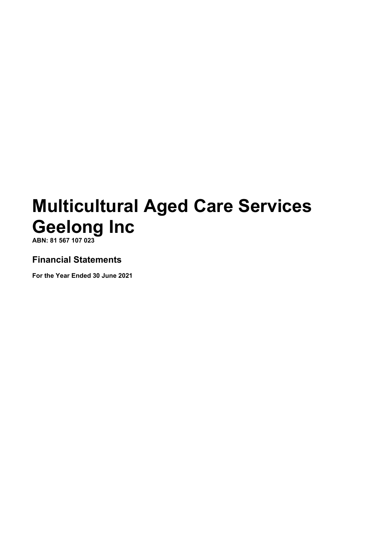**ABN: 81 567 107 023**

## **Financial Statements**

**For the Year Ended 30 June 2021**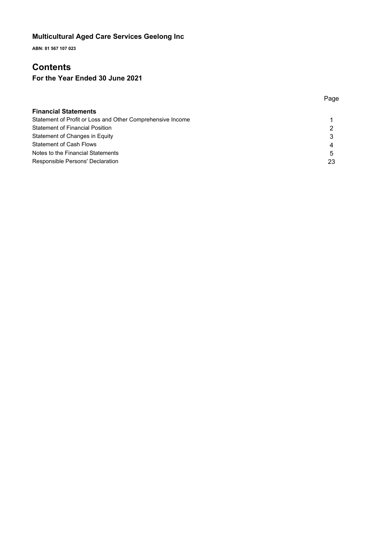**ABN: 81 567 107 023**

## **Contents**

## **For the Year Ended 30 June 2021**

| <b>Financial Statements</b>                                |    |
|------------------------------------------------------------|----|
| Statement of Profit or Loss and Other Comprehensive Income |    |
| <b>Statement of Financial Position</b>                     | າ  |
| Statement of Changes in Equity                             | 3  |
| <b>Statement of Cash Flows</b>                             | 4  |
| Notes to the Financial Statements                          | 5  |
| Responsible Persons' Declaration                           | 23 |

Page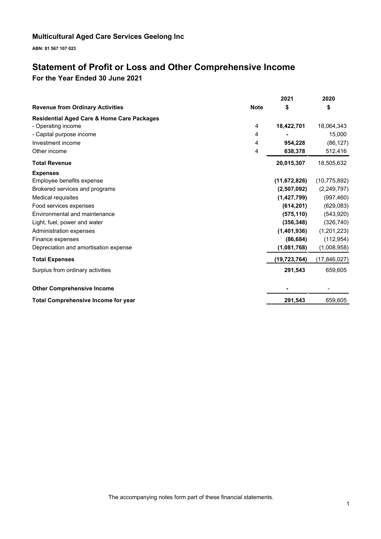**ABN: 81 567 107 023**

## **Statement of Profit or Loss and Other Comprehensive Income For the Year Ended 30 June 2021**

|                                                       |             | 2021           | 2020           |
|-------------------------------------------------------|-------------|----------------|----------------|
| <b>Revenue from Ordinary Activities</b>               | <b>Note</b> | \$             | \$             |
| <b>Residential Aged Care &amp; Home Care Packages</b> |             |                |                |
| - Operating income                                    | 4           | 18,422,701     | 18,064,343     |
| - Capital purpose income                              | 4           |                | 15,000         |
| Investment income                                     | 4           | 954,228        | (86, 127)      |
| Other income                                          | 4           | 638,378        | 512,416        |
| <b>Total Revenue</b>                                  |             | 20,015,307     | 18,505,632     |
| <b>Expenses</b>                                       |             |                |                |
| Employee benefits expense                             |             | (11, 672, 826) | (10, 775, 892) |
| Brokered services and programs                        |             | (2,507,092)    | (2,249,797)    |
| Medical requisites                                    |             | (1, 427, 799)  | (997, 460)     |
| Food services expenses                                |             | (614, 201)     | (629, 083)     |
| Environmental and maintenance                         |             | (575, 110)     | (543,920)      |
| Light, fuel, power and water                          |             | (356, 348)     | (326, 740)     |
| Administration expenses                               |             | (1,401,936)    | (1,201,223)    |
| Finance expenses                                      |             | (86, 684)      | (112, 954)     |
| Depreciation and amortisation expense                 |             | (1,081,768)    | (1,008,958)    |
| <b>Total Expenses</b>                                 |             | (19,723,764)   | (17, 846, 027) |
| Surplus from ordinary activities                      |             | 291,543        | 659,605        |
| <b>Other Comprehensive Income</b>                     |             |                |                |
| <b>Total Comprehensive Income for year</b>            |             | 291,543        | 659,605        |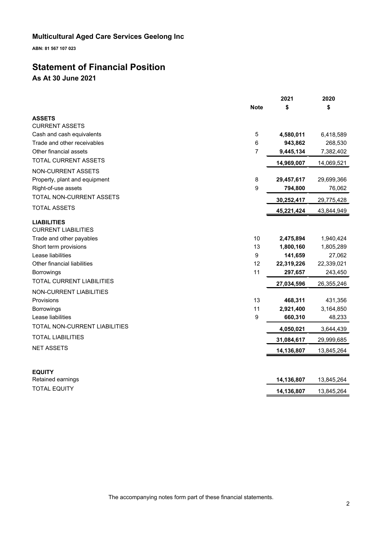**ABN: 81 567 107 023**

## **Statement of Financial Position As At 30 June 2021**

| <b>Note</b><br>\$<br>\$<br><b>CURRENT ASSETS</b><br>Cash and cash equivalents<br>5<br>4,580,011<br>6,418,589<br>6<br>Trade and other receivables<br>943,862<br>268,530<br>$\overline{7}$<br>7,382,402<br>9,445,134<br><b>TOTAL CURRENT ASSETS</b><br>14,969,007<br>14,069,521<br>8<br>29,457,617<br>29,699,366<br>9<br>794,800<br>76,062<br>TOTAL NON-CURRENT ASSETS<br>30,252,417<br>29,775,428<br><b>TOTAL ASSETS</b><br>43,844,949<br>45,221,424<br><b>CURRENT LIABILITIES</b><br>Trade and other payables<br>10<br>2,475,894<br>1,940,424<br>1,805,289<br>13<br>1,800,160<br>Lease liabilities<br>9<br>141,659<br>27,062<br>Other financial liabilities<br>12<br>22,319,226<br>22,339,021<br>11<br>243,450<br>Borrowings<br>297,657<br><b>TOTAL CURRENT LIABILITIES</b><br>27,034,596<br>26,355,246<br>13<br>468,311<br>431,356<br>3,164,850<br>11<br>2,921,400<br>Borrowings<br>9<br>660,310<br>48,233<br>TOTAL NON-CURRENT LIABILITIES<br>4,050,021<br>3,644,439<br><b>TOTAL LIABILITIES</b><br>31,084,617<br>29,999,685<br>14,136,807<br>13,845,264<br><b>EQUITY</b><br>14,136,807<br>13,845,264<br>Retained earnings<br><b>TOTAL EQUITY</b><br>14,136,807<br>13,845,264 |                               | 2021 | 2020 |
|---------------------------------------------------------------------------------------------------------------------------------------------------------------------------------------------------------------------------------------------------------------------------------------------------------------------------------------------------------------------------------------------------------------------------------------------------------------------------------------------------------------------------------------------------------------------------------------------------------------------------------------------------------------------------------------------------------------------------------------------------------------------------------------------------------------------------------------------------------------------------------------------------------------------------------------------------------------------------------------------------------------------------------------------------------------------------------------------------------------------------------------------------------------------------------|-------------------------------|------|------|
|                                                                                                                                                                                                                                                                                                                                                                                                                                                                                                                                                                                                                                                                                                                                                                                                                                                                                                                                                                                                                                                                                                                                                                                 |                               |      |      |
|                                                                                                                                                                                                                                                                                                                                                                                                                                                                                                                                                                                                                                                                                                                                                                                                                                                                                                                                                                                                                                                                                                                                                                                 | <b>ASSETS</b>                 |      |      |
|                                                                                                                                                                                                                                                                                                                                                                                                                                                                                                                                                                                                                                                                                                                                                                                                                                                                                                                                                                                                                                                                                                                                                                                 |                               |      |      |
|                                                                                                                                                                                                                                                                                                                                                                                                                                                                                                                                                                                                                                                                                                                                                                                                                                                                                                                                                                                                                                                                                                                                                                                 |                               |      |      |
|                                                                                                                                                                                                                                                                                                                                                                                                                                                                                                                                                                                                                                                                                                                                                                                                                                                                                                                                                                                                                                                                                                                                                                                 |                               |      |      |
|                                                                                                                                                                                                                                                                                                                                                                                                                                                                                                                                                                                                                                                                                                                                                                                                                                                                                                                                                                                                                                                                                                                                                                                 | Other financial assets        |      |      |
|                                                                                                                                                                                                                                                                                                                                                                                                                                                                                                                                                                                                                                                                                                                                                                                                                                                                                                                                                                                                                                                                                                                                                                                 |                               |      |      |
|                                                                                                                                                                                                                                                                                                                                                                                                                                                                                                                                                                                                                                                                                                                                                                                                                                                                                                                                                                                                                                                                                                                                                                                 | NON-CURRENT ASSETS            |      |      |
|                                                                                                                                                                                                                                                                                                                                                                                                                                                                                                                                                                                                                                                                                                                                                                                                                                                                                                                                                                                                                                                                                                                                                                                 | Property, plant and equipment |      |      |
|                                                                                                                                                                                                                                                                                                                                                                                                                                                                                                                                                                                                                                                                                                                                                                                                                                                                                                                                                                                                                                                                                                                                                                                 | Right-of-use assets           |      |      |
|                                                                                                                                                                                                                                                                                                                                                                                                                                                                                                                                                                                                                                                                                                                                                                                                                                                                                                                                                                                                                                                                                                                                                                                 |                               |      |      |
|                                                                                                                                                                                                                                                                                                                                                                                                                                                                                                                                                                                                                                                                                                                                                                                                                                                                                                                                                                                                                                                                                                                                                                                 |                               |      |      |
|                                                                                                                                                                                                                                                                                                                                                                                                                                                                                                                                                                                                                                                                                                                                                                                                                                                                                                                                                                                                                                                                                                                                                                                 | <b>LIABILITIES</b>            |      |      |
|                                                                                                                                                                                                                                                                                                                                                                                                                                                                                                                                                                                                                                                                                                                                                                                                                                                                                                                                                                                                                                                                                                                                                                                 |                               |      |      |
|                                                                                                                                                                                                                                                                                                                                                                                                                                                                                                                                                                                                                                                                                                                                                                                                                                                                                                                                                                                                                                                                                                                                                                                 | Short term provisions         |      |      |
|                                                                                                                                                                                                                                                                                                                                                                                                                                                                                                                                                                                                                                                                                                                                                                                                                                                                                                                                                                                                                                                                                                                                                                                 |                               |      |      |
|                                                                                                                                                                                                                                                                                                                                                                                                                                                                                                                                                                                                                                                                                                                                                                                                                                                                                                                                                                                                                                                                                                                                                                                 |                               |      |      |
|                                                                                                                                                                                                                                                                                                                                                                                                                                                                                                                                                                                                                                                                                                                                                                                                                                                                                                                                                                                                                                                                                                                                                                                 |                               |      |      |
|                                                                                                                                                                                                                                                                                                                                                                                                                                                                                                                                                                                                                                                                                                                                                                                                                                                                                                                                                                                                                                                                                                                                                                                 |                               |      |      |
|                                                                                                                                                                                                                                                                                                                                                                                                                                                                                                                                                                                                                                                                                                                                                                                                                                                                                                                                                                                                                                                                                                                                                                                 | NON-CURRENT LIABILITIES       |      |      |
|                                                                                                                                                                                                                                                                                                                                                                                                                                                                                                                                                                                                                                                                                                                                                                                                                                                                                                                                                                                                                                                                                                                                                                                 | Provisions                    |      |      |
|                                                                                                                                                                                                                                                                                                                                                                                                                                                                                                                                                                                                                                                                                                                                                                                                                                                                                                                                                                                                                                                                                                                                                                                 |                               |      |      |
|                                                                                                                                                                                                                                                                                                                                                                                                                                                                                                                                                                                                                                                                                                                                                                                                                                                                                                                                                                                                                                                                                                                                                                                 | Lease liabilities             |      |      |
|                                                                                                                                                                                                                                                                                                                                                                                                                                                                                                                                                                                                                                                                                                                                                                                                                                                                                                                                                                                                                                                                                                                                                                                 |                               |      |      |
|                                                                                                                                                                                                                                                                                                                                                                                                                                                                                                                                                                                                                                                                                                                                                                                                                                                                                                                                                                                                                                                                                                                                                                                 |                               |      |      |
|                                                                                                                                                                                                                                                                                                                                                                                                                                                                                                                                                                                                                                                                                                                                                                                                                                                                                                                                                                                                                                                                                                                                                                                 | <b>NET ASSETS</b>             |      |      |
|                                                                                                                                                                                                                                                                                                                                                                                                                                                                                                                                                                                                                                                                                                                                                                                                                                                                                                                                                                                                                                                                                                                                                                                 |                               |      |      |
|                                                                                                                                                                                                                                                                                                                                                                                                                                                                                                                                                                                                                                                                                                                                                                                                                                                                                                                                                                                                                                                                                                                                                                                 |                               |      |      |
|                                                                                                                                                                                                                                                                                                                                                                                                                                                                                                                                                                                                                                                                                                                                                                                                                                                                                                                                                                                                                                                                                                                                                                                 |                               |      |      |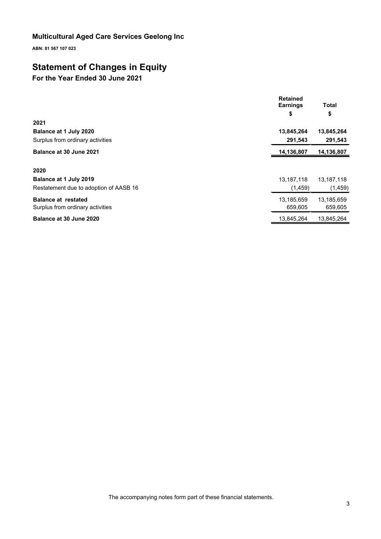**ABN: 81 567 107 023**

## **Statement of Changes in Equity**

## **For the Year Ended 30 June 2021**

|                                        | <b>Retained</b><br><b>Earnings</b> | Total      |
|----------------------------------------|------------------------------------|------------|
|                                        | \$                                 | \$         |
| 2021                                   |                                    |            |
| Balance at 1 July 2020                 | 13,845,264                         | 13,845,264 |
| Surplus from ordinary activities       | 291,543                            | 291,543    |
| Balance at 30 June 2021                | 14,136,807                         | 14,136,807 |
| 2020                                   |                                    |            |
| Balance at 1 July 2019                 | 13, 187, 118                       | 13,187,118 |
| Restatement due to adoption of AASB 16 | (1, 459)                           | (1, 459)   |
| <b>Balance at restated</b>             | 13,185,659                         | 13,185,659 |
| Surplus from ordinary activities       | 659,605                            | 659,605    |
| Balance at 30 June 2020                | 13,845,264                         | 13.845.264 |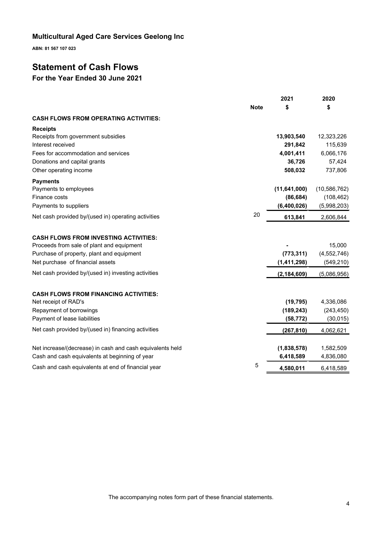**ABN: 81 567 107 023**

## **Statement of Cash Flows**

## **For the Year Ended 30 June 2021**

|                                                           |             | 2021           | 2020           |
|-----------------------------------------------------------|-------------|----------------|----------------|
|                                                           | <b>Note</b> | \$             | S              |
| <b>CASH FLOWS FROM OPERATING ACTIVITIES:</b>              |             |                |                |
| <b>Receipts</b>                                           |             |                |                |
| Receipts from government subsidies                        |             | 13,903,540     | 12,323,226     |
| Interest received                                         |             | 291,842        | 115,639        |
| Fees for accommodation and services                       |             | 4,001,411      | 6,066,176      |
| Donations and capital grants                              |             | 36,726         | 57,424         |
| Other operating income                                    |             | 508,032        | 737,806        |
| <b>Payments</b>                                           |             |                |                |
| Payments to employees                                     |             | (11, 641, 000) | (10, 586, 762) |
| Finance costs                                             |             | (86, 684)      | (108, 462)     |
| Payments to suppliers                                     |             | (6,400,026)    | (5,998,203)    |
| Net cash provided by/(used in) operating activities       | 20          | 613,841        | 2,606,844      |
| <b>CASH FLOWS FROM INVESTING ACTIVITIES:</b>              |             |                |                |
| Proceeds from sale of plant and equipment                 |             |                | 15,000         |
| Purchase of property, plant and equipment                 |             | (773, 311)     | (4, 552, 746)  |
| Net purchase of financial assets                          |             | (1,411,298)    | (549, 210)     |
| Net cash provided by/(used in) investing activities       |             | (2, 184, 609)  | (5,086,956)    |
| <b>CASH FLOWS FROM FINANCING ACTIVITIES:</b>              |             |                |                |
| Net receipt of RAD's                                      |             | (19, 795)      | 4,336,086      |
| Repayment of borrowings                                   |             | (189, 243)     | (243, 450)     |
| Payment of lease liabilities                              |             | (58, 772)      | (30, 015)      |
| Net cash provided by/(used in) financing activities       |             | (267, 810)     | 4,062,621      |
| Net increase/(decrease) in cash and cash equivalents held |             | (1,838,578)    | 1,582,509      |
| Cash and cash equivalents at beginning of year            |             | 6,418,589      | 4,836,080      |
| Cash and cash equivalents at end of financial year        | 5           | 4,580,011      | 6,418,589      |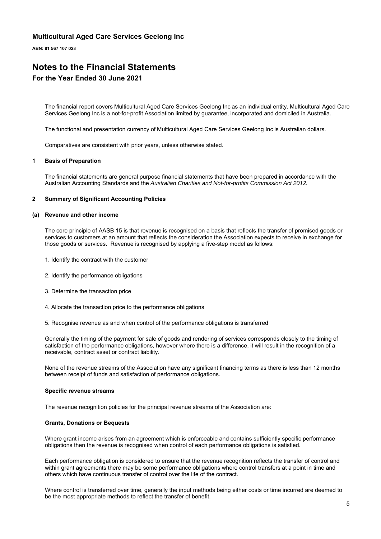**ABN: 81 567 107 023**

## **Notes to the Financial Statements For the Year Ended 30 June 2021**

The financial report covers Multicultural Aged Care Services Geelong Inc as an individual entity. Multicultural Aged Care Services Geelong Inc is a not-for-profit Association limited by guarantee, incorporated and domiciled in Australia.

The functional and presentation currency of Multicultural Aged Care Services Geelong Inc is Australian dollars.

Comparatives are consistent with prior years, unless otherwise stated.

#### **1 Basis of Preparation**

The financial statements are general purpose financial statements that have been prepared in accordance with the Australian Accounting Standards and the *Australian Charities and Not-for-profits Commission Act 2012.*

#### **2 Summary of Significant Accounting Policies**

#### **(a) Revenue and other income**

The core principle of AASB 15 is that revenue is recognised on a basis that reflects the transfer of promised goods or services to customers at an amount that reflects the consideration the Association expects to receive in exchange for those goods or services. Revenue is recognised by applying a five-step model as follows:

- 1. Identify the contract with the customer
- 2. Identify the performance obligations
- 3. Determine the transaction price
- 4. Allocate the transaction price to the performance obligations
- 5. Recognise revenue as and when control of the performance obligations is transferred

Generally the timing of the payment for sale of goods and rendering of services corresponds closely to the timing of satisfaction of the performance obligations, however where there is a difference, it will result in the recognition of a receivable, contract asset or contract liability.

None of the revenue streams of the Association have any significant financing terms as there is less than 12 months between receipt of funds and satisfaction of performance obligations.

#### **Specific revenue streams**

The revenue recognition policies for the principal revenue streams of the Association are:

#### **Grants, Donations or Bequests**

Where grant income arises from an agreement which is enforceable and contains sufficiently specific performance obligations then the revenue is recognised when control of each performance obligations is satisfied.

Each performance obligation is considered to ensure that the revenue recognition reflects the transfer of control and within grant agreements there may be some performance obligations where control transfers at a point in time and others which have continuous transfer of control over the life of the contract.

Where control is transferred over time, generally the input methods being either costs or time incurred are deemed to be the most appropriate methods to reflect the transfer of benefit.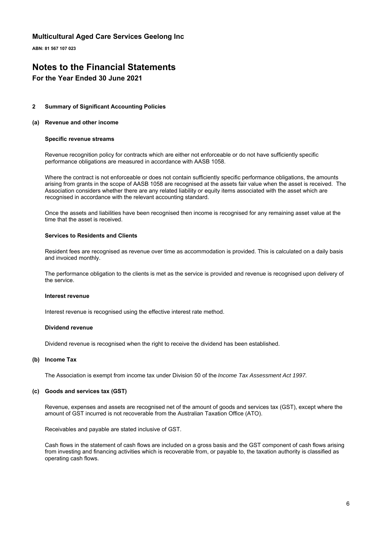**ABN: 81 567 107 023**

## **Notes to the Financial Statements**

## **For the Year Ended 30 June 2021**

#### **2 Summary of Significant Accounting Policies**

#### **(a) Revenue and other income**

#### **Specific revenue streams**

Revenue recognition policy for contracts which are either not enforceable or do not have sufficiently specific performance obligations are measured in accordance with AASB 1058.

Where the contract is not enforceable or does not contain sufficiently specific performance obligations, the amounts arising from grants in the scope of AASB 1058 are recognised at the assets fair value when the asset is received. The Association considers whether there are any related liability or equity items associated with the asset which are recognised in accordance with the relevant accounting standard.

Once the assets and liabilities have been recognised then income is recognised for any remaining asset value at the time that the asset is received.

#### **Services to Residents and Clients**

Resident fees are recognised as revenue over time as accommodation is provided. This is calculated on a daily basis and invoiced monthly.

The performance obligation to the clients is met as the service is provided and revenue is recognised upon delivery of the service.

#### **Interest revenue**

Interest revenue is recognised using the effective interest rate method.

### **Dividend revenue**

Dividend revenue is recognised when the right to receive the dividend has been established.

#### **(b) Income Tax**

The Association is exempt from income tax under Division 50 of the *Income Tax Assessment Act 1997*.

#### **(c) Goods and services tax (GST)**

Revenue, expenses and assets are recognised net of the amount of goods and services tax (GST), except where the amount of GST incurred is not recoverable from the Australian Taxation Office (ATO).

Receivables and payable are stated inclusive of GST.

Cash flows in the statement of cash flows are included on a gross basis and the GST component of cash flows arising from investing and financing activities which is recoverable from, or payable to, the taxation authority is classified as operating cash flows.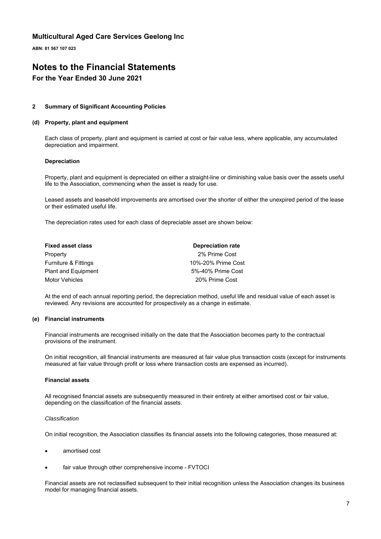**ABN: 81 567 107 023**

## **Notes to the Financial Statements**

## **For the Year Ended 30 June 2021**

### **2 Summary of Significant Accounting Policies**

### **(d) Property, plant and equipment**

Each class of property, plant and equipment is carried at cost or fair value less, where applicable, any accumulated depreciation and impairment.

#### **Depreciation**

Property, plant and equipment is depreciated on either a straight-line or diminishing value basis over the assets useful life to the Association, commencing when the asset is ready for use.

Leased assets and leasehold improvements are amortised over the shorter of either the unexpired period of the lease or their estimated useful life.

The depreciation rates used for each class of depreciable asset are shown below:

| <b>Fixed asset class</b>        | <b>Depreciation rate</b> |
|---------------------------------|--------------------------|
| Property                        | 2% Prime Cost            |
| <b>Furniture &amp; Fittings</b> | 10%-20% Prime Cost       |
| <b>Plant and Equipment</b>      | 5%-40% Prime Cost        |
| Motor Vehicles                  | 20% Prime Cost           |

At the end of each annual reporting period, the depreciation method, useful life and residual value of each asset is reviewed. Any revisions are accounted for prospectively as a change in estimate.

### **(e) Financial instruments**

Financial instruments are recognised initially on the date that the Association becomes party to the contractual provisions of the instrument.

On initial recognition, all financial instruments are measured at fair value plus transaction costs (except for instruments measured at fair value through profit or loss where transaction costs are expensed as incurred).

#### **Financial assets**

All recognised financial assets are subsequently measured in their entirety at either amortised cost or fair value, depending on the classification of the financial assets.

#### *Classification*

On initial recognition, the Association classifies its financial assets into the following categories, those measured at:

- amortised cost
- fair value through other comprehensive income FVTOCI

Financial assets are not reclassified subsequent to their initial recognition unless the Association changes its business model for managing financial assets.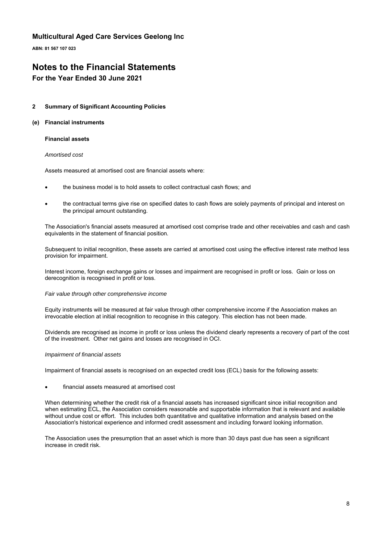**ABN: 81 567 107 023**

## **Notes to the Financial Statements**

## **For the Year Ended 30 June 2021**

### **2 Summary of Significant Accounting Policies**

### **(e) Financial instruments**

### **Financial assets**

### *Amortised cost*

Assets measured at amortised cost are financial assets where:

- the business model is to hold assets to collect contractual cash flows; and
- the contractual terms give rise on specified dates to cash flows are solely payments of principal and interest on the principal amount outstanding.

The Association's financial assets measured at amortised cost comprise trade and other receivables and cash and cash equivalents in the statement of financial position.

Subsequent to initial recognition, these assets are carried at amortised cost using the effective interest rate method less provision for impairment.

Interest income, foreign exchange gains or losses and impairment are recognised in profit or loss. Gain or loss on derecognition is recognised in profit or loss.

#### *Fair value through other comprehensive income*

Equity instruments will be measured at fair value through other comprehensive income if the Association makes an irrevocable election at initial recognition to recognise in this category. This election has not been made.

Dividends are recognised as income in profit or loss unless the dividend clearly represents a recovery of part of the cost of the investment. Other net gains and losses are recognised in OCI.

#### *Impairment of financial assets*

Impairment of financial assets is recognised on an expected credit loss (ECL) basis for the following assets:

#### financial assets measured at amortised cost

When determining whether the credit risk of a financial assets has increased significant since initial recognition and when estimating ECL, the Association considers reasonable and supportable information that is relevant and available without undue cost or effort. This includes both quantitative and qualitative information and analysis based on the Association's historical experience and informed credit assessment and including forward looking information.

The Association uses the presumption that an asset which is more than 30 days past due has seen a significant increase in credit risk.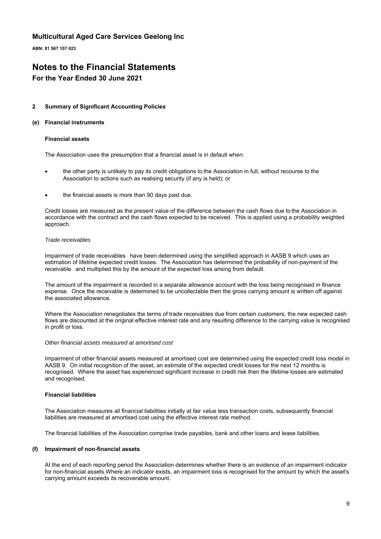**ABN: 81 567 107 023**

## **Notes to the Financial Statements**

## **For the Year Ended 30 June 2021**

### **2 Summary of Significant Accounting Policies**

### **(e) Financial instruments**

#### **Financial assets**

The Association uses the presumption that a financial asset is in default when:

- the other party is unlikely to pay its credit obligations to the Association in full, without recourse to the Association to actions such as realising security (if any is held); or
- the financial assets is more than 90 days past due.

Credit losses are measured as the present value of the difference between the cash flows due to the Association in accordance with the contract and the cash flows expected to be received. This is applied using a probability weighted approach.

#### *Trade receivables*

Impairment of trade receivables have been determined using the simplified approach in AASB 9 which uses an estimation of lifetime expected credit losses. The Association has determined the probability of non-payment of the receivable and multiplied this by the amount of the expected loss arising from default.

The amount of the impairment is recorded in a separate allowance account with the loss being recognised in finance expense. Once the receivable is determined to be uncollectable then the gross carrying amount is written off against the associated allowance.

Where the Association renegotiates the terms of trade receivables due from certain customers, the new expected cash flows are discounted at the original effective interest rate and any resulting difference to the carrying value is recognised in profit or loss.

#### *Other financial assets measured at amortised cost*

Impairment of other financial assets measured at amortised cost are determined using the expected credit loss model in AASB 9. On initial recognition of the asset, an estimate of the expected credit losses for the next 12 months is recognised. Where the asset has experienced significant increase in credit risk then the lifetime losses are estimated and recognised.

#### **Financial liabilities**

The Association measures all financial liabilities initially at fair value less transaction costs, subsequently financial liabilities are measured at amortised cost using the effective interest rate method.

The financial liabilities of the Association comprise trade payables, bank and other loans and lease liabilities.

### **(f) Impairment of non-financial assets**

At the end of each reporting period the Association determines whether there is an evidence of an impairment indicator for non-financial assets.Where an indicator exists, an impairment loss is recognised for the amount by which the asset's carrying amount exceeds its recoverable amount.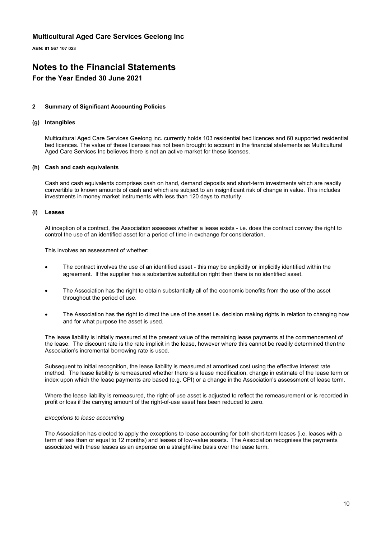**ABN: 81 567 107 023**

## **Notes to the Financial Statements**

## **For the Year Ended 30 June 2021**

### **2 Summary of Significant Accounting Policies**

### **(g) Intangibles**

Multicultural Aged Care Services Geelong inc. currently holds 103 residential bed licences and 60 supported residential bed licences. The value of these licenses has not been brought to account in the financial statements as Multicultural Aged Care Services Inc believes there is not an active market for these licenses.

#### **(h) Cash and cash equivalents**

Cash and cash equivalents comprises cash on hand, demand deposits and short-term investments which are readily convertible to known amounts of cash and which are subject to an insignificant risk of change in value. This includes investments in money market instruments with less than 120 days to maturity.

#### **(i) Leases**

At inception of a contract, the Association assesses whether a lease exists - i.e. does the contract convey the right to control the use of an identified asset for a period of time in exchange for consideration.

This involves an assessment of whether:

- The contract involves the use of an identified asset this may be explicitly or implicitly identified within the agreement. If the supplier has a substantive substitution right then there is no identified asset.
- The Association has the right to obtain substantially all of the economic benefits from the use of the asset throughout the period of use.
- The Association has the right to direct the use of the asset i.e. decision making rights in relation to changing how and for what purpose the asset is used.

The lease liability is initially measured at the present value of the remaining lease payments at the commencement of the lease. The discount rate is the rate implicit in the lease, however where this cannot be readily determined then the Association's incremental borrowing rate is used.

Subsequent to initial recognition, the lease liability is measured at amortised cost using the effective interest rate method. The lease liability is remeasured whether there is a lease modification, change in estimate of the lease term or index upon which the lease payments are based (e.g. CPI) or a change in the Association's assessment of lease term.

Where the lease liability is remeasured, the right-of-use asset is adjusted to reflect the remeasurement or is recorded in profit or loss if the carrying amount of the right-of-use asset has been reduced to zero.

#### *Exceptions to lease accounting*

The Association has elected to apply the exceptions to lease accounting for both short-term leases (i.e. leases with a term of less than or equal to 12 months) and leases of low-value assets. The Association recognises the payments associated with these leases as an expense on a straight-line basis over the lease term.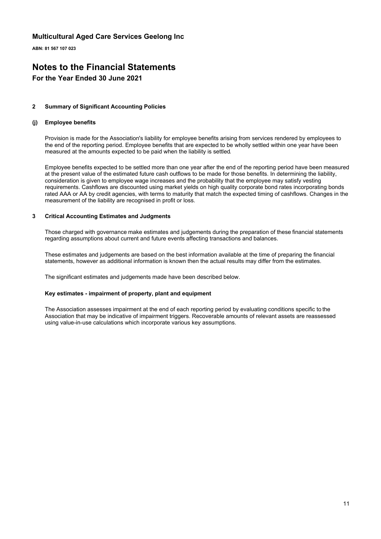**ABN: 81 567 107 023**

## **Notes to the Financial Statements For the Year Ended 30 June 2021**

#### **2 Summary of Significant Accounting Policies**

#### **(j) Employee benefits**

Provision is made for the Association's liability for employee benefits arising from services rendered by employees to the end of the reporting period. Employee benefits that are expected to be wholly settled within one year have been measured at the amounts expected to be paid when the liability is settled.

Employee benefits expected to be settled more than one year after the end of the reporting period have been measured at the present value of the estimated future cash outflows to be made for those benefits. In determining the liability, consideration is given to employee wage increases and the probability that the employee may satisfy vesting requirements. Cashflows are discounted using market yields on high quality corporate bond rates incorporating bonds rated AAA or AA by credit agencies, with terms to maturity that match the expected timing of cashflows. Changes in the measurement of the liability are recognised in profit or loss.

### **3 Critical Accounting Estimates and Judgments**

Those charged with governance make estimates and judgements during the preparation of these financial statements regarding assumptions about current and future events affecting transactions and balances.

These estimates and judgements are based on the best information available at the time of preparing the financial statements, however as additional information is known then the actual results may differ from the estimates.

The significant estimates and judgements made have been described below.

### **Key estimates - impairment of property, plant and equipment**

The Association assesses impairment at the end of each reporting period by evaluating conditions specific to the Association that may be indicative of impairment triggers. Recoverable amounts of relevant assets are reassessed using value-in-use calculations which incorporate various key assumptions.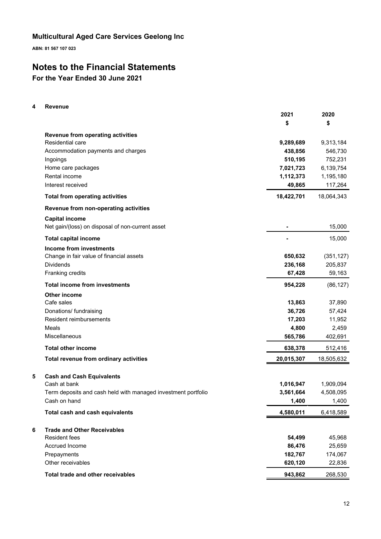**ABN: 81 567 107 023**

## **Notes to the Financial Statements**

**For the Year Ended 30 June 2021**

## **4 Revenue**

| \$<br>\$<br>Revenue from operating activities<br>Residential care<br>9,289,689<br>438,856<br>Accommodation payments and charges<br>510,195<br>Ingoings<br>7,021,723<br>Home care packages<br>Rental income<br>1,112,373<br>Interest received<br>49,865<br>18,422,701<br><b>Total from operating activities</b><br>Revenue from non-operating activities<br><b>Capital income</b><br>Net gain/(loss) on disposal of non-current asset<br><b>Total capital income</b><br>Income from investments<br>Change in fair value of financial assets<br>650,632<br><b>Dividends</b><br>236,168<br>Franking credits<br>67,428<br><b>Total income from investments</b><br>954,228<br>Other income<br>Cafe sales<br>13,863<br>36,726<br>57,424<br>Donations/ fundraising<br><b>Resident reimbursements</b><br>17,203<br>11,952<br>Meals<br>4,800<br>2,459<br>Miscellaneous<br>565,786<br>402,691<br><b>Total other income</b><br>638,378<br>Total revenue from ordinary activities<br>20,015,307<br>5<br><b>Cash and Cash Equivalents</b><br>Cash at bank<br>1,016,947<br>3,561,664<br>Term deposits and cash held with managed investment portfolio<br>Cash on hand<br>1,400<br>Total cash and cash equivalents<br>4,580,011<br>6<br><b>Trade and Other Receivables</b><br><b>Resident fees</b><br>54,499<br>Accrued Income<br>86,476<br>Prepayments<br>182,767 |                   | 2021    | 2020       |
|-----------------------------------------------------------------------------------------------------------------------------------------------------------------------------------------------------------------------------------------------------------------------------------------------------------------------------------------------------------------------------------------------------------------------------------------------------------------------------------------------------------------------------------------------------------------------------------------------------------------------------------------------------------------------------------------------------------------------------------------------------------------------------------------------------------------------------------------------------------------------------------------------------------------------------------------------------------------------------------------------------------------------------------------------------------------------------------------------------------------------------------------------------------------------------------------------------------------------------------------------------------------------------------------------------------------------------------------------------|-------------------|---------|------------|
|                                                                                                                                                                                                                                                                                                                                                                                                                                                                                                                                                                                                                                                                                                                                                                                                                                                                                                                                                                                                                                                                                                                                                                                                                                                                                                                                                     |                   |         |            |
|                                                                                                                                                                                                                                                                                                                                                                                                                                                                                                                                                                                                                                                                                                                                                                                                                                                                                                                                                                                                                                                                                                                                                                                                                                                                                                                                                     |                   |         |            |
|                                                                                                                                                                                                                                                                                                                                                                                                                                                                                                                                                                                                                                                                                                                                                                                                                                                                                                                                                                                                                                                                                                                                                                                                                                                                                                                                                     |                   |         | 9,313,184  |
|                                                                                                                                                                                                                                                                                                                                                                                                                                                                                                                                                                                                                                                                                                                                                                                                                                                                                                                                                                                                                                                                                                                                                                                                                                                                                                                                                     |                   |         | 546,730    |
|                                                                                                                                                                                                                                                                                                                                                                                                                                                                                                                                                                                                                                                                                                                                                                                                                                                                                                                                                                                                                                                                                                                                                                                                                                                                                                                                                     |                   |         | 752,231    |
|                                                                                                                                                                                                                                                                                                                                                                                                                                                                                                                                                                                                                                                                                                                                                                                                                                                                                                                                                                                                                                                                                                                                                                                                                                                                                                                                                     |                   |         | 6,139,754  |
|                                                                                                                                                                                                                                                                                                                                                                                                                                                                                                                                                                                                                                                                                                                                                                                                                                                                                                                                                                                                                                                                                                                                                                                                                                                                                                                                                     |                   |         | 1,195,180  |
|                                                                                                                                                                                                                                                                                                                                                                                                                                                                                                                                                                                                                                                                                                                                                                                                                                                                                                                                                                                                                                                                                                                                                                                                                                                                                                                                                     |                   |         | 117,264    |
|                                                                                                                                                                                                                                                                                                                                                                                                                                                                                                                                                                                                                                                                                                                                                                                                                                                                                                                                                                                                                                                                                                                                                                                                                                                                                                                                                     |                   |         | 18,064,343 |
|                                                                                                                                                                                                                                                                                                                                                                                                                                                                                                                                                                                                                                                                                                                                                                                                                                                                                                                                                                                                                                                                                                                                                                                                                                                                                                                                                     |                   |         |            |
|                                                                                                                                                                                                                                                                                                                                                                                                                                                                                                                                                                                                                                                                                                                                                                                                                                                                                                                                                                                                                                                                                                                                                                                                                                                                                                                                                     |                   |         |            |
|                                                                                                                                                                                                                                                                                                                                                                                                                                                                                                                                                                                                                                                                                                                                                                                                                                                                                                                                                                                                                                                                                                                                                                                                                                                                                                                                                     |                   |         | 15,000     |
|                                                                                                                                                                                                                                                                                                                                                                                                                                                                                                                                                                                                                                                                                                                                                                                                                                                                                                                                                                                                                                                                                                                                                                                                                                                                                                                                                     |                   |         | 15,000     |
|                                                                                                                                                                                                                                                                                                                                                                                                                                                                                                                                                                                                                                                                                                                                                                                                                                                                                                                                                                                                                                                                                                                                                                                                                                                                                                                                                     |                   |         |            |
|                                                                                                                                                                                                                                                                                                                                                                                                                                                                                                                                                                                                                                                                                                                                                                                                                                                                                                                                                                                                                                                                                                                                                                                                                                                                                                                                                     |                   |         | (351, 127) |
|                                                                                                                                                                                                                                                                                                                                                                                                                                                                                                                                                                                                                                                                                                                                                                                                                                                                                                                                                                                                                                                                                                                                                                                                                                                                                                                                                     |                   |         | 205,837    |
|                                                                                                                                                                                                                                                                                                                                                                                                                                                                                                                                                                                                                                                                                                                                                                                                                                                                                                                                                                                                                                                                                                                                                                                                                                                                                                                                                     |                   |         | 59,163     |
|                                                                                                                                                                                                                                                                                                                                                                                                                                                                                                                                                                                                                                                                                                                                                                                                                                                                                                                                                                                                                                                                                                                                                                                                                                                                                                                                                     |                   |         | (86, 127)  |
|                                                                                                                                                                                                                                                                                                                                                                                                                                                                                                                                                                                                                                                                                                                                                                                                                                                                                                                                                                                                                                                                                                                                                                                                                                                                                                                                                     |                   |         |            |
|                                                                                                                                                                                                                                                                                                                                                                                                                                                                                                                                                                                                                                                                                                                                                                                                                                                                                                                                                                                                                                                                                                                                                                                                                                                                                                                                                     |                   |         | 37,890     |
|                                                                                                                                                                                                                                                                                                                                                                                                                                                                                                                                                                                                                                                                                                                                                                                                                                                                                                                                                                                                                                                                                                                                                                                                                                                                                                                                                     |                   |         |            |
|                                                                                                                                                                                                                                                                                                                                                                                                                                                                                                                                                                                                                                                                                                                                                                                                                                                                                                                                                                                                                                                                                                                                                                                                                                                                                                                                                     |                   |         |            |
|                                                                                                                                                                                                                                                                                                                                                                                                                                                                                                                                                                                                                                                                                                                                                                                                                                                                                                                                                                                                                                                                                                                                                                                                                                                                                                                                                     |                   |         |            |
|                                                                                                                                                                                                                                                                                                                                                                                                                                                                                                                                                                                                                                                                                                                                                                                                                                                                                                                                                                                                                                                                                                                                                                                                                                                                                                                                                     |                   |         |            |
|                                                                                                                                                                                                                                                                                                                                                                                                                                                                                                                                                                                                                                                                                                                                                                                                                                                                                                                                                                                                                                                                                                                                                                                                                                                                                                                                                     |                   |         | 512,416    |
|                                                                                                                                                                                                                                                                                                                                                                                                                                                                                                                                                                                                                                                                                                                                                                                                                                                                                                                                                                                                                                                                                                                                                                                                                                                                                                                                                     |                   |         | 18,505,632 |
|                                                                                                                                                                                                                                                                                                                                                                                                                                                                                                                                                                                                                                                                                                                                                                                                                                                                                                                                                                                                                                                                                                                                                                                                                                                                                                                                                     |                   |         |            |
|                                                                                                                                                                                                                                                                                                                                                                                                                                                                                                                                                                                                                                                                                                                                                                                                                                                                                                                                                                                                                                                                                                                                                                                                                                                                                                                                                     |                   |         | 1,909,094  |
|                                                                                                                                                                                                                                                                                                                                                                                                                                                                                                                                                                                                                                                                                                                                                                                                                                                                                                                                                                                                                                                                                                                                                                                                                                                                                                                                                     |                   |         | 4,508,095  |
|                                                                                                                                                                                                                                                                                                                                                                                                                                                                                                                                                                                                                                                                                                                                                                                                                                                                                                                                                                                                                                                                                                                                                                                                                                                                                                                                                     |                   |         | 1,400      |
|                                                                                                                                                                                                                                                                                                                                                                                                                                                                                                                                                                                                                                                                                                                                                                                                                                                                                                                                                                                                                                                                                                                                                                                                                                                                                                                                                     |                   |         | 6,418,589  |
|                                                                                                                                                                                                                                                                                                                                                                                                                                                                                                                                                                                                                                                                                                                                                                                                                                                                                                                                                                                                                                                                                                                                                                                                                                                                                                                                                     |                   |         |            |
|                                                                                                                                                                                                                                                                                                                                                                                                                                                                                                                                                                                                                                                                                                                                                                                                                                                                                                                                                                                                                                                                                                                                                                                                                                                                                                                                                     |                   |         | 45,968     |
|                                                                                                                                                                                                                                                                                                                                                                                                                                                                                                                                                                                                                                                                                                                                                                                                                                                                                                                                                                                                                                                                                                                                                                                                                                                                                                                                                     |                   |         | 25,659     |
|                                                                                                                                                                                                                                                                                                                                                                                                                                                                                                                                                                                                                                                                                                                                                                                                                                                                                                                                                                                                                                                                                                                                                                                                                                                                                                                                                     |                   |         | 174,067    |
|                                                                                                                                                                                                                                                                                                                                                                                                                                                                                                                                                                                                                                                                                                                                                                                                                                                                                                                                                                                                                                                                                                                                                                                                                                                                                                                                                     | Other receivables | 620,120 | 22,836     |
| Total trade and other receivables<br>943,862                                                                                                                                                                                                                                                                                                                                                                                                                                                                                                                                                                                                                                                                                                                                                                                                                                                                                                                                                                                                                                                                                                                                                                                                                                                                                                        |                   |         | 268,530    |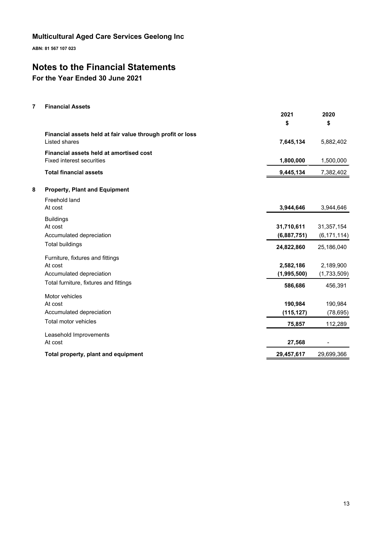**ABN: 81 567 107 023**

## **Notes to the Financial Statements**

**For the Year Ended 30 June 2021**

## **7 Financial Assets**

|   |                                                            | 2021        | 2020          |
|---|------------------------------------------------------------|-------------|---------------|
|   |                                                            | \$          | \$            |
|   | Financial assets held at fair value through profit or loss |             |               |
|   | Listed shares                                              | 7,645,134   | 5,882,402     |
|   | Financial assets held at amortised cost                    |             |               |
|   | <b>Fixed interest securities</b>                           | 1,800,000   | 1,500,000     |
|   | <b>Total financial assets</b>                              | 9,445,134   | 7,382,402     |
| 8 | <b>Property, Plant and Equipment</b>                       |             |               |
|   | Freehold land                                              |             |               |
|   | At cost                                                    | 3,944,646   | 3,944,646     |
|   | <b>Buildings</b>                                           |             |               |
|   | At cost                                                    | 31,710,611  | 31,357,154    |
|   | Accumulated depreciation                                   | (6,887,751) | (6, 171, 114) |
|   | <b>Total buildings</b>                                     | 24,822,860  | 25,186,040    |
|   | Furniture, fixtures and fittings                           |             |               |
|   | At cost                                                    | 2,582,186   | 2,189,900     |
|   | Accumulated depreciation                                   | (1,995,500) | (1,733,509)   |
|   | Total furniture, fixtures and fittings                     | 586,686     | 456,391       |
|   | Motor vehicles                                             |             |               |
|   | At cost                                                    | 190,984     | 190,984       |
|   | Accumulated depreciation                                   | (115, 127)  | (78, 695)     |
|   | Total motor vehicles                                       | 75,857      | 112,289       |
|   | Leasehold Improvements                                     |             |               |
|   | At cost                                                    | 27,568      |               |
|   | Total property, plant and equipment                        | 29,457,617  | 29,699,366    |
|   |                                                            |             |               |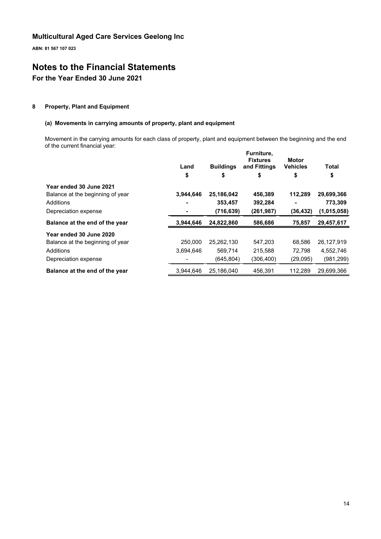**ABN: 81 567 107 023**

## **Notes to the Financial Statements**

## **For the Year Ended 30 June 2021**

## **8 Property, Plant and Equipment**

## **(a) Movements in carrying amounts of property, plant and equipment**

Movement in the carrying amounts for each class of property, plant and equipment between the beginning and the end of the current financial year:

|                                  | Land      | <b>Buildings</b> | Furniture,<br><b>Fixtures</b><br>and Fittings | Motor<br><b>Vehicles</b> | Total       |
|----------------------------------|-----------|------------------|-----------------------------------------------|--------------------------|-------------|
|                                  | \$        | \$               | \$                                            | \$                       | \$          |
| Year ended 30 June 2021          |           |                  |                                               |                          |             |
| Balance at the beginning of year | 3.944.646 | 25,186,042       | 456,389                                       | 112.289                  | 29,699,366  |
| Additions                        |           | 353,457          | 392,284                                       |                          | 773,309     |
| Depreciation expense             |           | (716, 639)       | (261, 987)                                    | (36, 432)                | (1,015,058) |
| Balance at the end of the year   | 3,944,646 | 24,822,860       | 586,686                                       | 75,857                   | 29,457,617  |
| Year ended 30 June 2020          |           |                  |                                               |                          |             |
| Balance at the beginning of year | 250.000   | 25,262,130       | 547,203                                       | 68,586                   | 26,127,919  |
| Additions                        | 3.694.646 | 569,714          | 215,588                                       | 72.798                   | 4,552,746   |
| Depreciation expense             |           | (645, 804)       | (306, 400)                                    | (29,095)                 | (981,299)   |
| Balance at the end of the year   | 3.944.646 | 25,186,040       | 456.391                                       | 112,289                  | 29,699,366  |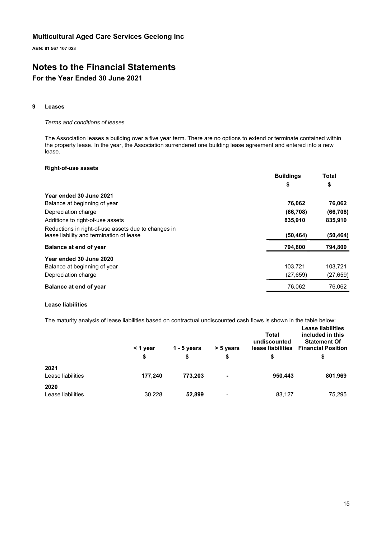**ABN: 81 567 107 023**

## **Notes to the Financial Statements For the Year Ended 30 June 2021**

### **9 Leases**

## *Terms and conditions of leases*

The Association leases a building over a five year term. There are no options to extend or terminate contained within the property lease. In the year, the Association surrendered one building lease agreement and entered into a new lease.

### **Right-of-use assets**

|                                                                                                 | <b>Buildings</b> | Total     |
|-------------------------------------------------------------------------------------------------|------------------|-----------|
|                                                                                                 | \$               | \$        |
| Year ended 30 June 2021                                                                         |                  |           |
| Balance at beginning of year                                                                    | 76,062           | 76,062    |
| Depreciation charge                                                                             | (66, 708)        | (66, 708) |
| Additions to right-of-use assets                                                                | 835,910          | 835,910   |
| Reductions in right-of-use assets due to changes in<br>lease liability and termination of lease | (50, 464)        | (50,464)  |
| Balance at end of year                                                                          | 794,800          | 794,800   |
| Year ended 30 June 2020                                                                         |                  |           |
| Balance at beginning of year                                                                    | 103,721          | 103,721   |
| Depreciation charge                                                                             | (27, 659)        | (27, 659) |
| Balance at end of year                                                                          | 76,062           | 76,062    |

### **Lease liabilities**

The maturity analysis of lease liabilities based on contractual undiscounted cash flows is shown in the table below:

|                           | < 1 year<br>\$ | $1 - 5$ years<br>\$ | > 5 years<br>\$ | Total<br>undiscounted<br>lease liabilities<br>S | <b>Lease liabilities</b><br>included in this<br><b>Statement Of</b><br><b>Financial Position</b><br>\$ |
|---------------------------|----------------|---------------------|-----------------|-------------------------------------------------|--------------------------------------------------------------------------------------------------------|
| 2021<br>Lease liabilities | 177,240        | 773,203             | ۰               | 950,443                                         | 801,969                                                                                                |
| 2020<br>Lease liabilities | 30,228         | 52,899              | $\,$            | 83,127                                          | 75,295                                                                                                 |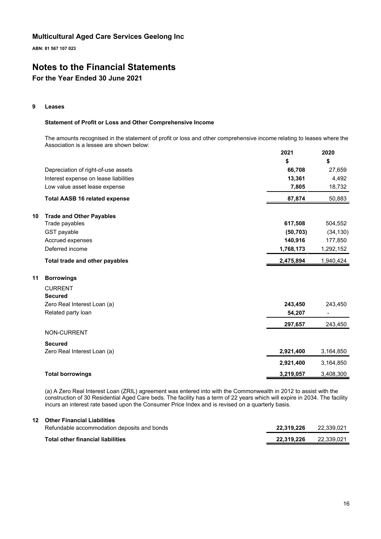**ABN: 81 567 107 023**

## **Notes to the Financial Statements**

## **For the Year Ended 30 June 2021**

### **9 Leases**

## **Statement of Profit or Loss and Other Comprehensive Income**

The amounts recognised in the statement of profit or loss and other comprehensive income relating to leases where the Association is a lessee are shown below: **2021 2020**

|                                       | ZUZ I     | ZUZU      |
|---------------------------------------|-----------|-----------|
|                                       | \$        | \$        |
| Depreciation of right-of-use assets   | 66,708    | 27,659    |
| Interest expense on lease liabilities | 13,361    | 4,492     |
| Low value asset lease expense         | 7,805     | 18,732    |
| <b>Total AASB 16 related expense</b>  | 87,874    | 50,883    |
| <b>Trade and Other Payables</b><br>10 |           |           |
| Trade payables                        | 617,508   | 504,552   |
| GST payable                           | (50, 703) | (34, 130) |
| Accrued expenses                      | 140,916   | 177,850   |
| Deferred income                       | 1,768,173 | 1,292,152 |
| Total trade and other payables        | 2,475,894 | 1,940,424 |
| 11<br><b>Borrowings</b>               |           |           |
| <b>CURRENT</b>                        |           |           |
| <b>Secured</b>                        |           |           |
| Zero Real Interest Loan (a)           | 243,450   | 243,450   |
| Related party loan                    | 54,207    |           |
|                                       | 297,657   | 243,450   |
| NON-CURRENT                           |           |           |
| <b>Secured</b>                        |           |           |
| Zero Real Interest Loan (a)           | 2,921,400 | 3,164,850 |
|                                       | 2,921,400 | 3,164,850 |
| <b>Total borrowings</b>               | 3,219,057 | 3,408,300 |

(a) A Zero Real Interest Loan (ZRIL) agreement was entered into with the Commonwealth in 2012 to assist with the construction of 30 Residential Aged Care beds. The facility has a term of 22 years which will expire in 2034. The facility incurs an interest rate based upon the Consumer Price Index and is revised on a quarterly basis.

## **12 Other Financial Liabilities**

| Refundable accommodation deposits and bonds | 22.319.226 | 22.339.021 |
|---------------------------------------------|------------|------------|
| Total other financial liabilities           | 22.319.226 | 22.339.021 |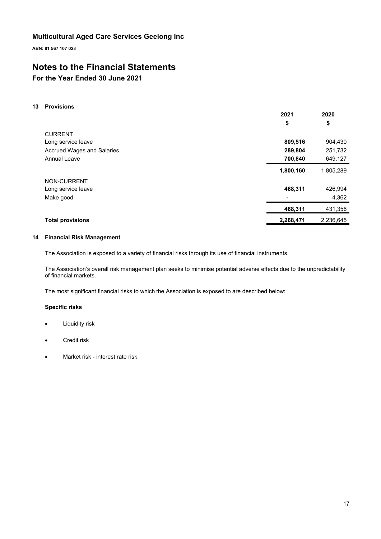**ABN: 81 567 107 023**

## **Notes to the Financial Statements**

## **For the Year Ended 30 June 2021**

## **13 Provisions**

|                                   | 2021      | 2020      |
|-----------------------------------|-----------|-----------|
|                                   | \$        | \$        |
| <b>CURRENT</b>                    |           |           |
| Long service leave                | 809,516   | 904,430   |
| <b>Accrued Wages and Salaries</b> | 289,804   | 251,732   |
| <b>Annual Leave</b>               | 700,840   | 649,127   |
|                                   | 1,800,160 | 1,805,289 |
| NON-CURRENT                       |           |           |
| Long service leave                | 468,311   | 426,994   |
| Make good                         |           | 4,362     |
|                                   | 468,311   | 431,356   |
| <b>Total provisions</b>           | 2,268,471 | 2,236,645 |

### **14 Financial Risk Management**

The Association is exposed to a variety of financial risks through its use of financial instruments.

The Association's overall risk management plan seeks to minimise potential adverse effects due to the unpredictability of financial markets.

The most significant financial risks to which the Association is exposed to are described below:

## **Specific risks**

- Liquidity risk
- Credit risk
- Market risk interest rate risk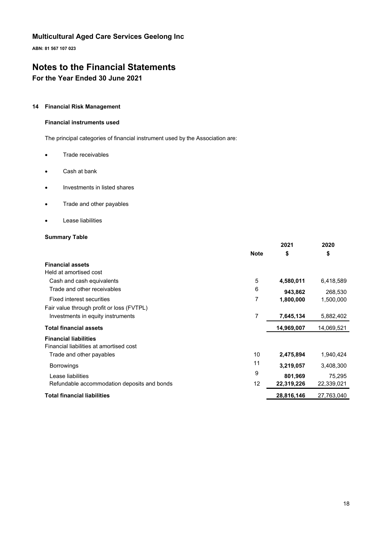**ABN: 81 567 107 023**

## **Notes to the Financial Statements**

## **For the Year Ended 30 June 2021**

## **14 Financial Risk Management**

## **Financial instruments used**

The principal categories of financial instrument used by the Association are:

- Trade receivables
- Cash at bank
- Investments in listed shares
- Trade and other payables
- Lease liabilities

## **Summary Table**

|                                             |             | 2021       | 2020       |
|---------------------------------------------|-------------|------------|------------|
|                                             | <b>Note</b> | \$         | \$         |
| <b>Financial assets</b>                     |             |            |            |
| Held at amortised cost                      |             |            |            |
| Cash and cash equivalents                   | 5           | 4,580,011  | 6,418,589  |
| Trade and other receivables                 | 6           | 943,862    | 268,530    |
| Fixed interest securities                   | 7           | 1,800,000  | 1,500,000  |
| Fair value through profit or loss (FVTPL)   |             |            |            |
| Investments in equity instruments           | 7           | 7,645,134  | 5,882,402  |
| <b>Total financial assets</b>               |             | 14,969,007 | 14,069,521 |
| <b>Financial liabilities</b>                |             |            |            |
| Financial liabilities at amortised cost     |             |            |            |
| Trade and other payables                    | 10          | 2,475,894  | 1,940,424  |
| <b>Borrowings</b>                           | 11          | 3,219,057  | 3,408,300  |
| Lease liabilities                           | 9           | 801,969    | 75,295     |
| Refundable accommodation deposits and bonds | 12          | 22,319,226 | 22,339,021 |
| <b>Total financial liabilities</b>          |             | 28,816,146 | 27,763,040 |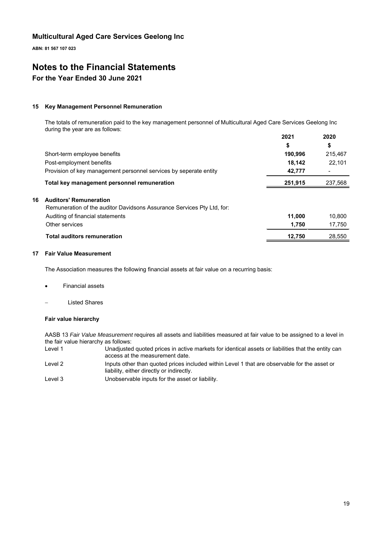**ABN: 81 567 107 023**

## **Notes to the Financial Statements**

## **For the Year Ended 30 June 2021**

### **15 Key Management Personnel Remuneration**

The totals of remuneration paid to the key management personnel of Multicultural Aged Care Services Geelong Inc during the year are as follows: **2021 2020**

|    |                                                                        | 2021    | 2020    |
|----|------------------------------------------------------------------------|---------|---------|
|    |                                                                        | \$      | \$      |
|    | Short-term employee benefits                                           | 190,996 | 215,467 |
|    | Post-employment benefits                                               | 18,142  | 22,101  |
|    | Provision of key management personnel services by seperate entity      | 42,777  |         |
|    | Total key management personnel remuneration                            | 251,915 | 237,568 |
| 16 | <b>Auditors' Remuneration</b>                                          |         |         |
|    | Remuneration of the auditor Davidsons Assurance Services Pty Ltd, for: |         |         |
|    | Auditing of financial statements                                       | 11,000  | 10,800  |
|    | Other services                                                         | 1,750   | 17,750  |
|    | <b>Total auditors remuneration</b>                                     | 12.750  | 28.550  |

### **17 Fair Value Measurement**

The Association measures the following financial assets at fair value on a recurring basis:

- Financial assets
- Listed Shares

### **Fair value hierarchy**

AASB 13 *Fair Value Measurement* requires all assets and liabilities measured at fair value to be assigned to a level in the fair value hierarchy as follows:

Level 1 Unadjusted quoted prices in active markets for identical assets or liabilities that the entity can access at the measurement date. Level 2 Inputs other than quoted prices included within Level 1 that are observable for the asset or liability, either directly or indirectly. Level 3 Unobservable inputs for the asset or liability.

19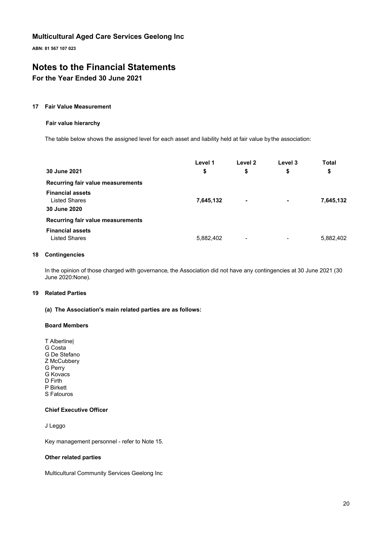**ABN: 81 567 107 023**

## **Notes to the Financial Statements**

## **For the Year Ended 30 June 2021**

#### **17 Fair Value Measurement**

#### **Fair value hierarchy**

The table below shows the assigned level for each asset and liability held at fair value by the association:

|                                                                 | Level 1   | Level 2                  | Level 3 | Total     |
|-----------------------------------------------------------------|-----------|--------------------------|---------|-----------|
| 30 June 2021                                                    | \$        | \$                       | \$      | \$        |
| Recurring fair value measurements                               |           |                          |         |           |
| <b>Financial assets</b><br><b>Listed Shares</b><br>30 June 2020 | 7,645,132 | $\blacksquare$           |         | 7,645,132 |
| Recurring fair value measurements                               |           |                          |         |           |
| <b>Financial assets</b><br><b>Listed Shares</b>                 | 5,882,402 | $\overline{\phantom{a}}$ | -       | 5,882,402 |

#### **18 Contingencies**

In the opinion of those charged with governance, the Association did not have any contingencies at 30 June 2021 (30 June 2020:None).

## **19 Related Parties**

## **(a) The Association's main related parties are as follows:**

### **Board Members**

T Alberline| G Costa G De Stefano Z McCubbery G Perry G Kovacs D Firth P Birkett S Fatouros

## **Chief Executive Officer**

J Leggo

Key management personnel - refer to Note 15.

#### **Other related parties**

Multicultural Community Services Geelong Inc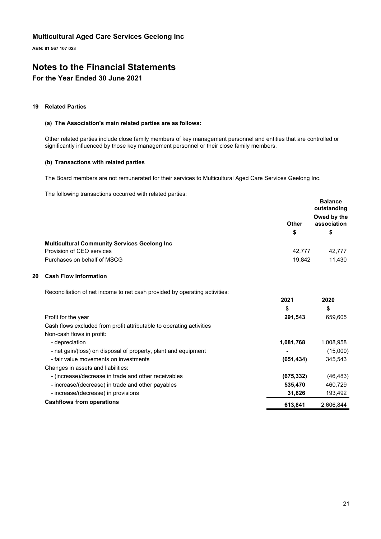**ABN: 81 567 107 023**

## **Notes to the Financial Statements**

## **For the Year Ended 30 June 2021**

## **19 Related Parties**

## **(a) The Association's main related parties are as follows:**

Other related parties include close family members of key management personnel and entities that are controlled or significantly influenced by those key management personnel or their close family members.

### **(b) Transactions with related parties**

The Board members are not remunerated for their services to Multicultural Aged Care Services Geelong Inc.

The following transactions occurred with related parties:

|    |                                                                            |              | <b>Balance</b><br>outstanding |
|----|----------------------------------------------------------------------------|--------------|-------------------------------|
|    |                                                                            | <b>Other</b> | Owed by the<br>association    |
|    |                                                                            | \$           | \$                            |
|    | <b>Multicultural Community Services Geelong Inc</b>                        |              |                               |
|    | Provision of CEO services                                                  | 42,777       | 42,777                        |
|    | Purchases on behalf of MSCG                                                | 19,842       | 11,430                        |
| 20 | <b>Cash Flow Information</b>                                               |              |                               |
|    | Reconciliation of net income to net cash provided by operating activities: |              |                               |
|    |                                                                            | 2021         | 2020                          |
|    |                                                                            | \$           | \$                            |
|    | Profit for the year                                                        | 291,543      | 659,605                       |
|    | Cash flows excluded from profit attributable to operating activities       |              |                               |
|    | Non-cash flows in profit:                                                  |              |                               |
|    | - depreciation                                                             | 1,081,768    | 1,008,958                     |
|    | - net gain/(loss) on disposal of property, plant and equipment             |              | (15,000)                      |
|    | - fair value movements on investments                                      | (651, 434)   | 345,543                       |
|    | Changes in assets and liabilities:                                         |              |                               |
|    | - (increase)/decrease in trade and other receivables                       | (675, 332)   | (46, 483)                     |
|    | - increase/(decrease) in trade and other payables                          | 535,470      | 460,729                       |
|    | - increase/(decrease) in provisions                                        | 31,826       | 193,492                       |
|    | <b>Cashflows from operations</b>                                           | 613,841      | 2,606,844                     |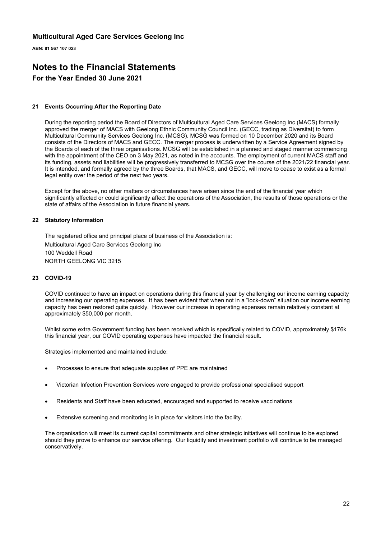**ABN: 81 567 107 023**

## **Notes to the Financial Statements For the Year Ended 30 June 2021**

### **21 Events Occurring After the Reporting Date**

During the reporting period the Board of Directors of Multicultural Aged Care Services Geelong Inc (MACS) formally approved the merger of MACS with Geelong Ethnic Community Council Inc. (GECC, trading as Diversitat) to form Multicultural Community Services Geelong Inc. (MCSG). MCSG was formed on 10 December 2020 and its Board consists of the Directors of MACS and GECC. The merger process is underwritten by a Service Agreement signed by the Boards of each of the three organisations. MCSG will be established in a planned and staged manner commencing with the appointment of the CEO on 3 May 2021, as noted in the accounts. The employment of current MACS staff and its funding, assets and liabilities will be progressively transferred to MCSG over the course of the 2021/22 financial year. It is intended, and formally agreed by the three Boards, that MACS, and GECC, will move to cease to exist as a formal legal entity over the period of the next two years.

Except for the above, no other matters or circumstances have arisen since the end of the financial year which significantly affected or could significantly affect the operations of the Association, the results of those operations or the state of affairs of the Association in future financial years.

### **22 Statutory Information**

The registered office and principal place of business of the Association is: Multicultural Aged Care Services Geelong Inc 100 Weddell Road NORTH GEELONG VIC 3215

### **23 COVID-19**

COVID continued to have an impact on operations during this financial year by challenging our income earning capacity and increasing our operating expenses. It has been evident that when not in a "lock-down" situation our income earning capacity has been restored quite quickly. However our increase in operating expenses remain relatively constant at approximately \$50,000 per month.

Whilst some extra Government funding has been received which is specifically related to COVID, approximately \$176k this financial year, our COVID operating expenses have impacted the financial result.

Strategies implemented and maintained include:

- Processes to ensure that adequate supplies of PPE are maintained
- Victorian Infection Prevention Services were engaged to provide professional specialised support
- Residents and Staff have been educated, encouraged and supported to receive vaccinations
- Extensive screening and monitoring is in place for visitors into the facility.

The organisation will meet its current capital commitments and other strategic initiatives will continue to be explored should they prove to enhance our service offering. Our liquidity and investment portfolio will continue to be managed conservatively.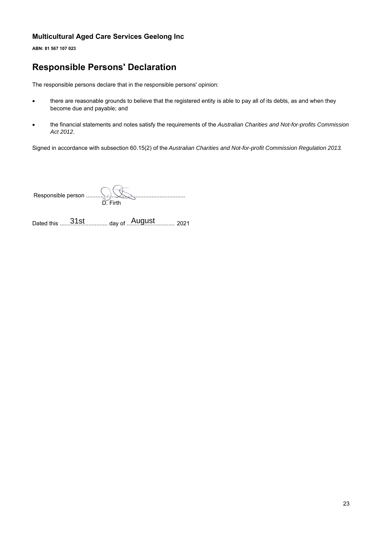**ABN: 81 567 107 023**

## **Responsible Persons' Declaration**

The responsible persons declare that in the responsible persons' opinion:

- there are reasonable grounds to believe that the registered entity is able to pay all of its debts, as and when they become due and payable; and
- the financial statements and notes satisfy the requirements of the *Australian Charities and Not-for-profits Commission Act 2012*.

Signed in accordance with subsection 60.15(2) of the *Australian Charities and Not-for-profit Commission Regulation 2013*.

| Firth |
|-------|
|       |

Dated this .............................. day of .............................. 2021 31st August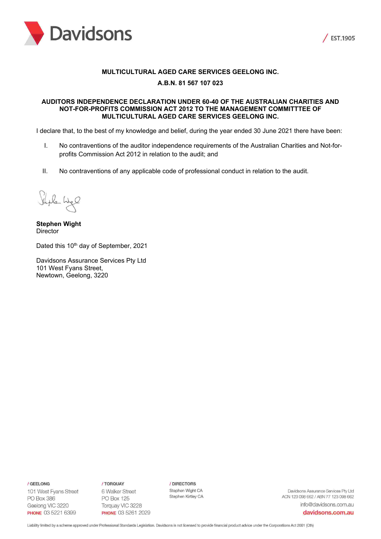



## **MULTICULTURAL AGED CARE SERVICES GEELONG INC.**

## **A.B.N. 81 567 107 023**

### **AUDITORS INDEPENDENCE DECLARATION UNDER 60-40 OF THE AUSTRALIAN CHARITIES AND NOT-FOR-PROFITS COMMISSION ACT 2012 TO THE MANAGEMENT COMMITTTEE OF MULTICULTURAL AGED CARE SERVICES GEELONG INC.**

I declare that, to the best of my knowledge and belief, during the year ended 30 June 2021 there have been:

- I. No contraventions of the auditor independence requirements of the Australian Charities and Not-forprofits Commission Act 2012 in relation to the audit; and
- II. No contraventions of any applicable code of professional conduct in relation to the audit.

Shile Wel

**Stephen Wight Director** 

Dated this 10<sup>th</sup> day of September, 2021

Davidsons Assurance Services Pty Ltd 101 West Fyans Street, Newtown, Geelong, 3220

/ GEELONG

101 West Fyans Street PO Box 386 Geelong VIC 3220 **PHONE 03 5221 6399** 

/ TORQUAY 6 Walker Street PO Box 125 Torquay VIC 3228 **PHONE 03 5261 2029**  / DIRECTORS Stephen Wight CA Stephen Kirtley CA

Davidsons Assurance Services Pty Ltd ACN 123 098 662 / ABN 77 123 098 662 info@davidsons.com.au

davidsons.com.au

Liability limited by a scheme approved under Professional Standards Legislation. Davidsons is not licensed to provide financial product advice under the Corporations Act 2001 (Cth)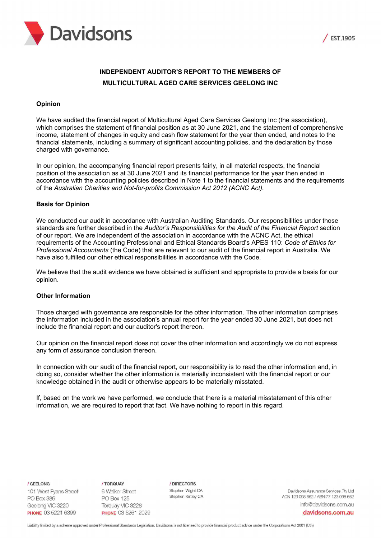



## **INDEPENDENT AUDITOR'S REPORT TO THE MEMBERS OF MULTICULTURAL AGED CARE SERVICES GEELONG INC**

## **Opinion**

We have audited the financial report of Multicultural Aged Care Services Geelong Inc (the association), which comprises the statement of financial position as at 30 June 2021, and the statement of comprehensive income, statement of changes in equity and cash flow statement for the year then ended, and notes to the financial statements, including a summary of significant accounting policies, and the declaration by those charged with governance.

In our opinion, the accompanying financial report presents fairly, in all material respects, the financial position of the association as at 30 June 2021 and its financial performance for the year then ended in accordance with the accounting policies described in Note 1 to the financial statements and the requirements of the *Australian Charities and Not-for-profits Commission Act 2012 (ACNC Act).*

### **Basis for Opinion**

We conducted our audit in accordance with Australian Auditing Standards. Our responsibilities under those standards are further described in the *Auditor's Responsibilities for the Audit of the Financial Report* section of our report. We are independent of the association in accordance with the ACNC Act, the ethical requirements of the Accounting Professional and Ethical Standards Board's APES 110: *Code of Ethics for Professional Accountants* (the Code) that are relevant to our audit of the financial report in Australia. We have also fulfilled our other ethical responsibilities in accordance with the Code.

We believe that the audit evidence we have obtained is sufficient and appropriate to provide a basis for our opinion.

### **Other Information**

Those charged with governance are responsible for the other information. The other information comprises the information included in the association's annual report for the year ended 30 June 2021, but does not include the financial report and our auditor's report thereon.

Our opinion on the financial report does not cover the other information and accordingly we do not express any form of assurance conclusion thereon.

In connection with our audit of the financial report, our responsibility is to read the other information and, in doing so, consider whether the other information is materially inconsistent with the financial report or our knowledge obtained in the audit or otherwise appears to be materially misstated.

If, based on the work we have performed, we conclude that there is a material misstatement of this other information, we are required to report that fact. We have nothing to report in this regard.

/ GEELONG

101 West Fyans Street PO Box 386 Geelong VIC 3220 **PHONE 03 5221 6399** 

/ TOROUAY 6 Walker Street PO Box 125 Torquay VIC 3228 **PHONE 03 5261 2029**  /DIRECTORS Stephen Wight CA Stephen Kirtley CA

Davidsons Assurance Services Pty Ltd ACN 123 098 662 / ABN 77 123 098 662 info@davidsons.com.au

davidsons.com.au

Liability limited by a scheme approved under Professional Standards Legislation. Davidsons is not licensed to provide financial product advice under the Corporations Act 2001 (Cth)